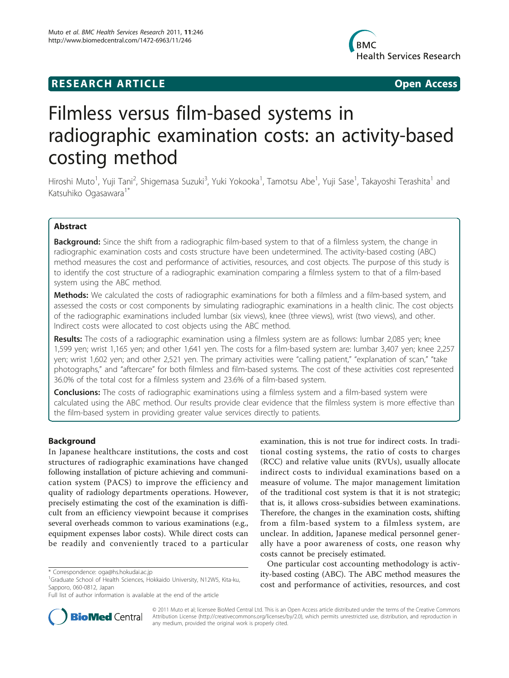# **RESEARCH ARTICLE Example 2018 12:00 Open Access**



# Filmless versus film-based systems in radiographic examination costs: an activity-based costing method

Hiroshi Muto<sup>1</sup>, Yuji Tani<sup>2</sup>, Shigemasa Suzuki<sup>3</sup>, Yuki Yokooka<sup>1</sup>, Tamotsu Abe<sup>1</sup>, Yuji Sase<sup>1</sup>, Takayoshi Terashita<sup>1</sup> and Katsuhiko Ogasawara<sup>1\*</sup>

# Abstract

**Background:** Since the shift from a radiographic film-based system to that of a filmless system, the change in radiographic examination costs and costs structure have been undetermined. The activity-based costing (ABC) method measures the cost and performance of activities, resources, and cost objects. The purpose of this study is to identify the cost structure of a radiographic examination comparing a filmless system to that of a film-based system using the ABC method.

Methods: We calculated the costs of radiographic examinations for both a filmless and a film-based system, and assessed the costs or cost components by simulating radiographic examinations in a health clinic. The cost objects of the radiographic examinations included lumbar (six views), knee (three views), wrist (two views), and other. Indirect costs were allocated to cost objects using the ABC method.

Results: The costs of a radiographic examination using a filmless system are as follows: lumbar 2,085 yen; knee 1,599 yen; wrist 1,165 yen; and other 1,641 yen. The costs for a film-based system are: lumbar 3,407 yen; knee 2,257 yen; wrist 1,602 yen; and other 2,521 yen. The primary activities were "calling patient," "explanation of scan," "take photographs," and "aftercare" for both filmless and film-based systems. The cost of these activities cost represented 36.0% of the total cost for a filmless system and 23.6% of a film-based system.

**Conclusions:** The costs of radiographic examinations using a filmless system and a film-based system were calculated using the ABC method. Our results provide clear evidence that the filmless system is more effective than the film-based system in providing greater value services directly to patients.

## Background

In Japanese healthcare institutions, the costs and cost structures of radiographic examinations have changed following installation of picture achieving and communication system (PACS) to improve the efficiency and quality of radiology departments operations. However, precisely estimating the cost of the examination is difficult from an efficiency viewpoint because it comprises several overheads common to various examinations (e.g., equipment expenses labor costs). While direct costs can be readily and conveniently traced to a particular

examination, this is not true for indirect costs. In traditional costing systems, the ratio of costs to charges (RCC) and relative value units (RVUs), usually allocate indirect costs to individual examinations based on a measure of volume. The major management limitation of the traditional cost system is that it is not strategic; that is, it allows cross-subsidies between examinations. Therefore, the changes in the examination costs, shifting from a film-based system to a filmless system, are unclear. In addition, Japanese medical personnel generally have a poor awareness of costs, one reason why costs cannot be precisely estimated.

One particular cost accounting methodology is activity-based costing (ABC). The ABC method measures the cost and performance of activities, resources, and cost



© 2011 Muto et al; licensee BioMed Central Ltd. This is an Open Access article distributed under the terms of the Creative Commons Attribution License [\(http://creativecommons.org/licenses/by/2.0](http://creativecommons.org/licenses/by/2.0)), which permits unrestricted use, distribution, and reproduction in any medium, provided the original work is properly cited.

<sup>\*</sup> Correspondence: [oga@hs.hokudai.ac.jp](mailto:oga@hs.hokudai.ac.jp)

<sup>1</sup> Graduate School of Health Sciences, Hokkaido University, N12W5, Kita-ku, Sapporo, 060-0812, Japan

Full list of author information is available at the end of the article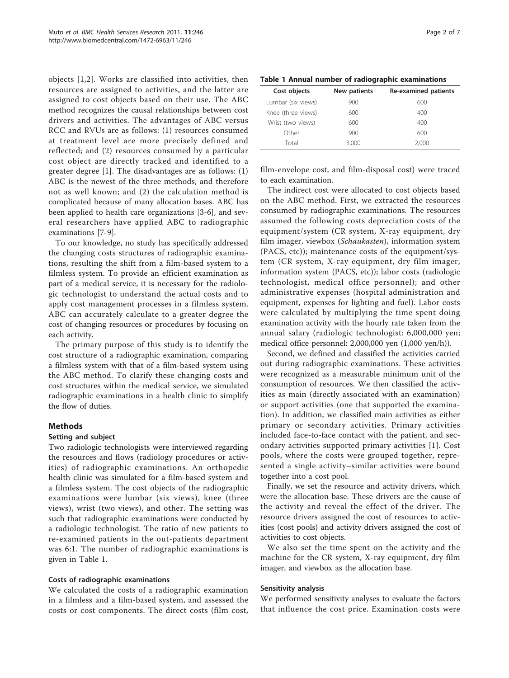objects [[1,2](#page-6-0)]. Works are classified into activities, then resources are assigned to activities, and the latter are assigned to cost objects based on their use. The ABC method recognizes the causal relationships between cost drivers and activities. The advantages of ABC versus RCC and RVUs are as follows: (1) resources consumed at treatment level are more precisely defined and reflected; and (2) resources consumed by a particular cost object are directly tracked and identified to a greater degree [[1\]](#page-6-0). The disadvantages are as follows: (1) ABC is the newest of the three methods, and therefore not as well known; and (2) the calculation method is complicated because of many allocation bases. ABC has been applied to health care organizations [[3-6](#page-6-0)], and several researchers have applied ABC to radiographic examinations [\[7-9](#page-6-0)].

To our knowledge, no study has specifically addressed the changing costs structures of radiographic examinations, resulting the shift from a film-based system to a filmless system. To provide an efficient examination as part of a medical service, it is necessary for the radiologic technologist to understand the actual costs and to apply cost management processes in a filmless system. ABC can accurately calculate to a greater degree the cost of changing resources or procedures by focusing on each activity.

The primary purpose of this study is to identify the cost structure of a radiographic examination, comparing a filmless system with that of a film-based system using the ABC method. To clarify these changing costs and cost structures within the medical service, we simulated radiographic examinations in a health clinic to simplify the flow of duties.

#### Methods

#### Setting and subject

Two radiologic technologists were interviewed regarding the resources and flows (radiology procedures or activities) of radiographic examinations. An orthopedic health clinic was simulated for a film-based system and a filmless system. The cost objects of the radiographic examinations were lumbar (six views), knee (three views), wrist (two views), and other. The setting was such that radiographic examinations were conducted by a radiologic technologist. The ratio of new patients to re-examined patients in the out-patients department was 6:1. The number of radiographic examinations is given in Table 1.

#### Costs of radiographic examinations

We calculated the costs of a radiographic examination in a filmless and a film-based system, and assessed the costs or cost components. The direct costs (film cost,

| Cost objects       | New patients | Re-examined patients |
|--------------------|--------------|----------------------|
| Lumbar (six views) | 900          | 600                  |
| Knee (three views) | 600          | 400                  |
| Wrist (two views)  | 600          | 400                  |
| Other              | 900          | 600                  |
| Total              | 3.000        | 2.000                |

film-envelope cost, and film-disposal cost) were traced to each examination.

The indirect cost were allocated to cost objects based on the ABC method. First, we extracted the resources consumed by radiographic examinations. The resources assumed the following costs depreciation costs of the equipment/system (CR system, X-ray equipment, dry film imager, viewbox (Schaukasten), information system (PACS, etc)); maintenance costs of the equipment/system (CR system, X-ray equipment, dry film imager, information system (PACS, etc)); labor costs (radiologic technologist, medical office personnel); and other administrative expenses (hospital administration and equipment, expenses for lighting and fuel). Labor costs were calculated by multiplying the time spent doing examination activity with the hourly rate taken from the annual salary (radiologic technologist: 6,000,000 yen; medical office personnel: 2,000,000 yen (1,000 yen/h)).

Second, we defined and classified the activities carried out during radiographic examinations. These activities were recognized as a measurable minimum unit of the consumption of resources. We then classified the activities as main (directly associated with an examination) or support activities (one that supported the examination). In addition, we classified main activities as either primary or secondary activities. Primary activities included face-to-face contact with the patient, and secondary activities supported primary activities [[1](#page-6-0)]. Cost pools, where the costs were grouped together, represented a single activity–similar activities were bound together into a cost pool.

Finally, we set the resource and activity drivers, which were the allocation base. These drivers are the cause of the activity and reveal the effect of the driver. The resource drivers assigned the cost of resources to activities (cost pools) and activity drivers assigned the cost of activities to cost objects.

We also set the time spent on the activity and the machine for the CR system, X-ray equipment, dry film imager, and viewbox as the allocation base.

#### Sensitivity analysis

We performed sensitivity analyses to evaluate the factors that influence the cost price. Examination costs were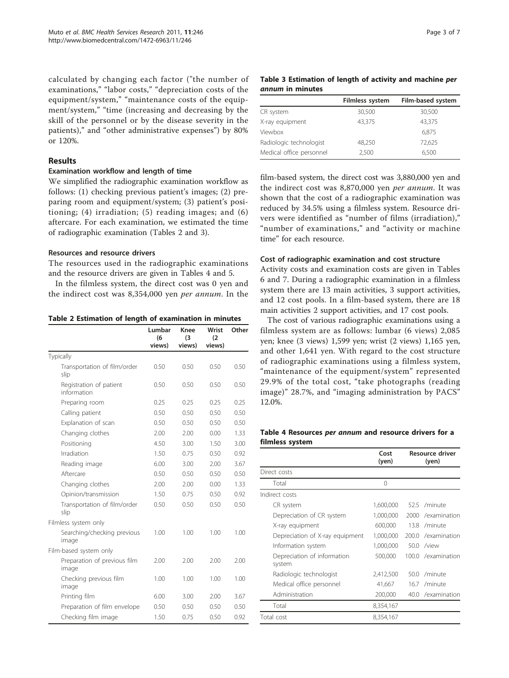calculated by changing each factor ("the number of examinations," "labor costs," "depreciation costs of the equipment/system," "maintenance costs of the equipment/system," "time (increasing and decreasing by the skill of the personnel or by the disease severity in the patients)," and "other administrative expenses") by 80% or 120%.

### Results

### Examination workflow and length of time

We simplified the radiographic examination workflow as follows: (1) checking previous patient's images; (2) preparing room and equipment/system; (3) patient's positioning; (4) irradiation; (5) reading images; and (6) aftercare. For each examination, we estimated the time of radiographic examination (Tables 2 and 3).

#### Resources and resource drivers

The resources used in the radiographic examinations and the resource drivers are given in Tables 4 and [5](#page-3-0).

In the filmless system, the direct cost was 0 yen and the indirect cost was 8,354,000 yen per annum. In the

Table 2 Estimation of length of examination in minutes

|                                        | Lumbar<br>(6)<br>views) | Knee<br>(3)<br>views) | Wrist<br>(2)<br>views) | Other |
|----------------------------------------|-------------------------|-----------------------|------------------------|-------|
| Typically                              |                         |                       |                        |       |
| Transportation of film/order<br>slip   | 0.50                    | 0.50                  | 0.50                   | 0.50  |
| Registration of patient<br>information | 0.50                    | 0.50                  | 0.50                   | 0.50  |
| Preparing room                         | 0.25                    | 0.25                  | 0.25                   | 0.25  |
| Calling patient                        | 0.50                    | 0.50                  | 0.50                   | 0.50  |
| Explanation of scan                    | 0.50                    | 0.50                  | 0.50                   | 0.50  |
| Changing clothes                       | 2.00                    | 2.00                  | 0.00                   | 1.33  |
| Positioning                            | 4.50                    | 3.00                  | 1.50                   | 3.00  |
| Irradiation                            | 1.50                    | 0.75                  | 0.50                   | 0.92  |
| Reading image                          | 6.00                    | 3.00                  | 2.00                   | 3.67  |
| Aftercare                              | 0.50                    | 0.50                  | 0.50                   | 0.50  |
| Changing clothes                       | 2.00                    | 2.00                  | 0.00                   | 1.33  |
| Opinion/transmission                   | 1.50                    | 0.75                  | 0.50                   | 0.92  |
| Transportation of film/order<br>slip   | 0.50                    | 0.50                  | 0.50                   | 0.50  |
| Filmless system only                   |                         |                       |                        |       |
| Searching/checking previous<br>image   | 1.00                    | 1.00                  | 1.00                   | 1.00  |
| Film-based system only                 |                         |                       |                        |       |
| Preparation of previous film<br>image  | 2.00                    | 2.00                  | 2.00                   | 2.00  |
| Checking previous film<br>image        | 1.00                    | 1.00                  | 1.00                   | 1.00  |
| Printing film                          | 6.00                    | 3.00                  | 2.00                   | 3.67  |
| Preparation of film envelope           | 0.50                    | 0.50                  | 0.50                   | 0.50  |
| Checking film image                    | 1.50                    | 0.75                  | 0.50                   | 0.92  |

Table 3 Estimation of length of activity and machine per annum in minutes

|                          | Filmless system | Film-based system |
|--------------------------|-----------------|-------------------|
| CR system                | 30,500          | 30,500            |
| X-ray equipment          | 43,375          | 43,375            |
| Viewbox                  |                 | 6,875             |
| Radiologic technologist  | 48,250          | 72,625            |
| Medical office personnel | 2.500           | 6.500             |

film-based system, the direct cost was 3,880,000 yen and the indirect cost was 8,870,000 yen per annum. It was shown that the cost of a radiographic examination was reduced by 34.5% using a filmless system. Resource drivers were identified as "number of films (irradiation)," "number of examinations," and "activity or machine time" for each resource.

#### Cost of radiographic examination and cost structure

Activity costs and examination costs are given in Tables [6](#page-3-0) and [7](#page-4-0). During a radiographic examination in a filmless system there are 13 main activities, 3 support activities, and 12 cost pools. In a film-based system, there are 18 main activities 2 support activities, and 17 cost pools.

The cost of various radiographic examinations using a filmless system are as follows: lumbar (6 views) 2,085 yen; knee (3 views) 1,599 yen; wrist (2 views) 1,165 yen, and other 1,641 yen. With regard to the cost structure of radiographic examinations using a filmless system, "maintenance of the equipment/system" represented 29.9% of the total cost, "take photographs (reading image)" 28.7%, and "imaging administration by PACS" 12.0%.

Table 4 Resources per annum and resource drivers for a filmless system

|                                       | Cost<br>(yen) |      | Resource driver<br>(yen) |  |
|---------------------------------------|---------------|------|--------------------------|--|
| Direct costs                          |               |      |                          |  |
| Total                                 | $\Omega$      |      |                          |  |
| Indirect costs                        |               |      |                          |  |
| CR system                             | 1,600,000     | 52.5 | /minute                  |  |
| Depreciation of CR system             | 1,000,000     |      | 2000 / examination       |  |
| X-ray equipment                       | 600,000       | 13.8 | /minute                  |  |
| Depreciation of X-ray equipment       | 1,000,000     |      | 200.0 /examination       |  |
| Information system                    | 1,000,000     | 50.0 | /view                    |  |
| Depreciation of information<br>system | 500,000       |      | 100.0 /examination       |  |
| Radiologic technologist               | 2,412,500     | 50.0 | /minute                  |  |
| Medical office personnel              | 41,667        | 16.7 | /minute                  |  |
| Administration                        | 200,000       |      | 40.0 /examination        |  |
| Total                                 | 8,354,167     |      |                          |  |
| Total cost                            | 8,354,167     |      |                          |  |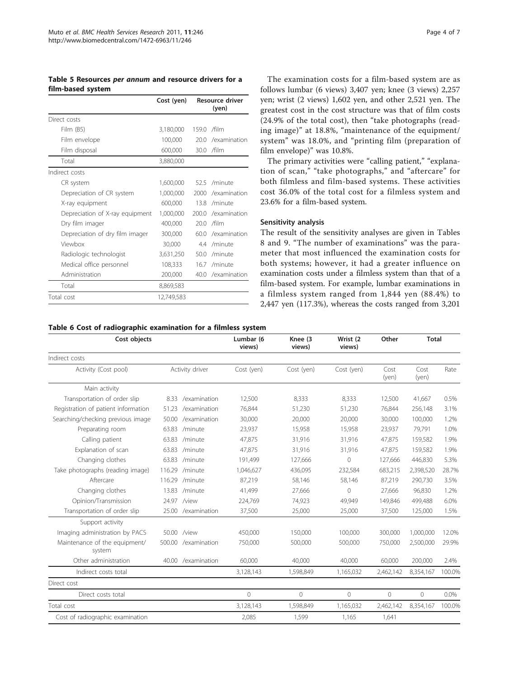<span id="page-3-0"></span>

| Table 5 Resources per annum and resource drivers for a |  |  |
|--------------------------------------------------------|--|--|
| film-based system                                      |  |  |

|                                 | Cost (yen) |       | <b>Resource driver</b><br>(yen) |
|---------------------------------|------------|-------|---------------------------------|
| Direct costs                    |            |       |                                 |
| Film (B5)                       | 3,180,000  | 159.0 | /film                           |
| Film envelope                   | 100,000    | 20.0  | /examination                    |
| Film disposal                   | 600,000    | 30.0  | /film                           |
| Total                           | 3,880,000  |       |                                 |
| Indirect costs                  |            |       |                                 |
| CR system                       | 1,600,000  | 52.5  | /minute                         |
| Depreciation of CR system       | 1,000,000  | 2000  | /examination                    |
| X-ray equipment                 | 600,000    | 138   | /minute                         |
| Depreciation of X-ray equipment | 1,000,000  | 200.0 | /examination                    |
| Dry film imager                 | 400,000    | 20.0  | /film                           |
| Depreciation of dry film imager | 300,000    | 60.0  | /examination                    |
| Viewbox                         | 30,000     | 4.4   | /minute                         |
| Radiologic technologist         | 3,631,250  | 50.0  | /minute                         |
| Medical office personnel        | 108,333    | 16.7  | /minute                         |
| Administration                  | 200,000    | 40.0  | /examination                    |
| Total                           | 8,869,583  |       |                                 |
| Total cost                      | 12.749.583 |       |                                 |

The examination costs for a film-based system are as follows lumbar (6 views) 3,407 yen; knee (3 views) 2,257 yen; wrist (2 views) 1,602 yen, and other 2,521 yen. The greatest cost in the cost structure was that of film costs (24.9% of the total cost), then "take photographs (reading image)" at 18.8%, "maintenance of the equipment/ system" was 18.0%, and "printing film (preparation of film envelope)" was 10.8%.

The primary activities were "calling patient," "explanation of scan," "take photographs," and "aftercare" for both filmless and film-based systems. These activities cost 36.0% of the total cost for a filmless system and 23.6% for a film-based system.

#### Sensitivity analysis

The result of the sensitivity analyses are given in Tables [8](#page-5-0) and [9.](#page-5-0) "The number of examinations" was the parameter that most influenced the examination costs for both systems; however, it had a greater influence on examination costs under a filmless system than that of a film-based system. For example, lumbar examinations in a filmless system ranged from 1,844 yen (88.4%) to 2,447 yen (117.3%), whereas the costs ranged from 3,201

#### Table 6 Cost of radiographic examination for a filmless system

| Cost objects                            |        |                 | Lumbar (6<br>views) | Knee (3<br>views) | Wrist (2<br>views) | Other         | <b>Total</b>  |         |
|-----------------------------------------|--------|-----------------|---------------------|-------------------|--------------------|---------------|---------------|---------|
| Indirect costs                          |        |                 |                     |                   |                    |               |               |         |
| Activity (Cost pool)                    |        | Activity driver | Cost (yen)          | Cost (yen)        | Cost (yen)         | Cost<br>(yen) | Cost<br>(yen) | Rate    |
| Main activity                           |        |                 |                     |                   |                    |               |               |         |
| Transportation of order slip            | 8.33   | /examination    | 12,500              | 8,333             | 8,333              | 12,500        | 41,667        | 0.5%    |
| Registration of patient information     | 51.23  | /examination    | 76,844              | 51,230            | 51,230             | 76,844        | 256,148       | 3.1%    |
| Searching/checking previous image       | 50.00  | /examination    | 30,000              | 20,000            | 20,000             | 30,000        | 100,000       | 1.2%    |
| Preparating room                        | 63.83  | /minute         | 23,937              | 15,958            | 15,958             | 23,937        | 79,791        | 1.0%    |
| Calling patient                         | 63.83  | /minute         | 47,875              | 31,916            | 31,916             | 47,875        | 159,582       | 1.9%    |
| Explanation of scan                     | 63.83  | /minute         | 47.875              | 31.916            | 31,916             | 47.875        | 159,582       | 1.9%    |
| Changing clothes                        | 63.83  | /minute         | 191,499             | 127,666           | 0                  | 127,666       | 446,830       | 5.3%    |
| Take photographs (reading image)        | 116.29 | /minute         | 1,046,627           | 436,095           | 232,584            | 683,215       | 2,398,520     | 28.7%   |
| Aftercare                               | 116.29 | /minute         | 87,219              | 58.146            | 58,146             | 87,219        | 290,730       | 3.5%    |
| Changing clothes                        | 13.83  | /minute         | 41.499              | 27.666            | 0                  | 27.666        | 96.830        | 1.2%    |
| Opinion/Transmission                    | 24.97  | /view           | 224,769             | 74,923            | 49,949             | 149,846       | 499,488       | 6.0%    |
| Transportation of order slip            | 25.00  | /examination    | 37,500              | 25,000            | 25,000             | 37,500        | 125,000       | 1.5%    |
| Support activity                        |        |                 |                     |                   |                    |               |               |         |
| Imaging administration by PACS          | 50.00  | /view           | 450,000             | 150,000           | 100,000            | 300,000       | 1,000,000     | 12.0%   |
| Maintenance of the equipment/<br>system | 500.00 | /examination    | 750,000             | 500,000           | 500,000            | 750,000       | 2,500,000     | 29.9%   |
| Other administration                    | 40.00  | /examination    | 60,000              | 40.000            | 40.000             | 60.000        | 200,000       | 2.4%    |
| Indirect costs total                    |        |                 | 3,128,143           | 1,598,849         | 1,165,032          | 2,462,142     | 8,354,167     | 100.0%  |
| Direct cost                             |        |                 |                     |                   |                    |               |               |         |
| Direct costs total                      |        |                 | $\overline{0}$      | $\Omega$          | $\Omega$           | $\Omega$      | $\Omega$      | $0.0\%$ |
| Total cost                              |        |                 | 3,128,143           | 1,598,849         | 1,165,032          | 2,462,142     | 8,354,167     | 100.0%  |
| Cost of radiographic examination        |        |                 | 2,085               | 1,599             | 1,165              | 1,641         |               |         |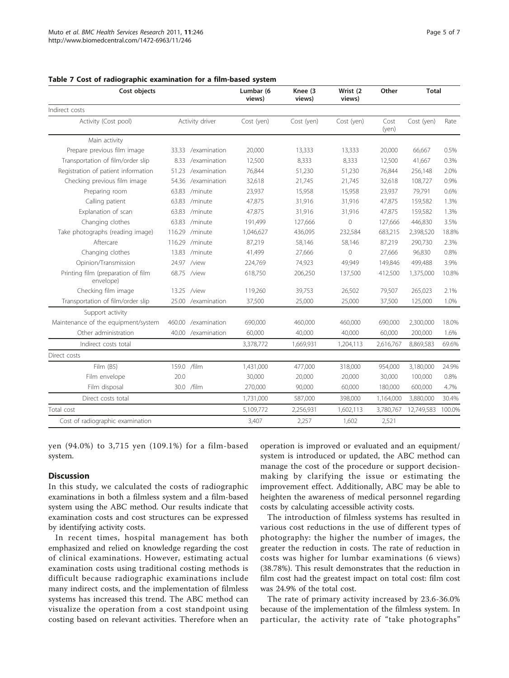| Cost objects                                    |             | Lumbar (6<br>views) | Knee (3<br>views) | Wrist (2<br>views) | Other        | <b>Total</b>  |            |        |
|-------------------------------------------------|-------------|---------------------|-------------------|--------------------|--------------|---------------|------------|--------|
| Indirect costs                                  |             |                     |                   |                    |              |               |            |        |
| Activity (Cost pool)                            |             | Activity driver     | Cost (yen)        | Cost (yen)         | Cost (yen)   | Cost<br>(yen) | Cost (yen) | Rate   |
| Main activity                                   |             |                     |                   |                    |              |               |            |        |
| Prepare previous film image                     |             | 33.33 /examination  | 20,000            | 13,333             | 13,333       | 20,000        | 66,667     | 0.5%   |
| Transportation of film/order slip               | 8.33        | /examination        | 12,500            | 8,333              | 8,333        | 12,500        | 41,667     | 0.3%   |
| Registration of patient information             | 51.23       | /examination        | 76,844            | 51,230             | 51,230       | 76,844        | 256,148    | 2.0%   |
| Checking previous film image                    | 54.36       | /examination        | 32,618            | 21,745             | 21,745       | 32,618        | 108.727    | 0.9%   |
| Preparing room                                  |             | 63.83 /minute       | 23,937            | 15,958             | 15,958       | 23,937        | 79,791     | 0.6%   |
| Calling patient                                 |             | 63.83 /minute       | 47,875            | 31,916             | 31,916       | 47,875        | 159,582    | 1.3%   |
| Explanation of scan                             |             | 63.83 /minute       | 47,875            | 31,916             | 31,916       | 47,875        | 159,582    | 1.3%   |
| Changing clothes                                |             | 63.83 /minute       | 191,499           | 127,666            | $\mathbf{0}$ | 127,666       | 446,830    | 3.5%   |
| Take photographs (reading image)                | 116.29      | /minute             | 1,046,627         | 436,095            | 232,584      | 683,215       | 2,398,520  | 18.8%  |
| Aftercare                                       |             | 116.29 /minute      | 87,219            | 58,146             | 58,146       | 87,219        | 290,730    | 2.3%   |
| Changing clothes                                |             | 13.83 /minute       | 41,499            | 27,666             | $\mathbf{0}$ | 27,666        | 96,830     | 0.8%   |
| Opinion/Transmission                            | 24.97       | /view               | 224.769           | 74,923             | 49.949       | 149.846       | 499.488    | 3.9%   |
| Printing film (preparation of film<br>envelope) |             | 68.75 /view         | 618,750           | 206,250            | 137,500      | 412,500       | 1,375,000  | 10.8%  |
| Checking film image                             | 13.25       | /view               | 119,260           | 39,753             | 26,502       | 79,507        | 265,023    | 2.1%   |
| Transportation of film/order slip               |             | 25.00 /examination  | 37,500            | 25,000             | 25,000       | 37,500        | 125,000    | 1.0%   |
| Support activity                                |             |                     |                   |                    |              |               |            |        |
| Maintenance of the equipment/system             | 460.00      | /examination        | 690,000           | 460.000            | 460.000      | 690,000       | 2,300,000  | 18.0%  |
| Other administration                            |             | 40.00 /examination  | 60,000            | 40,000             | 40,000       | 60,000        | 200,000    | 1.6%   |
| Indirect costs total                            |             |                     | 3,378,772         | 1,669,931          | 1,204,113    | 2,616,767     | 8,869,583  | 69.6%  |
| Direct costs                                    |             |                     |                   |                    |              |               |            |        |
| Film (B5)                                       | 159.0 /film |                     | 1,431,000         | 477,000            | 318,000      | 954,000       | 3,180,000  | 24.9%  |
| Film envelope                                   | 20.0        |                     | 30,000            | 20,000             | 20,000       | 30,000        | 100,000    | 0.8%   |
| Film disposal                                   |             | 30.0 /film          | 270,000           | 90,000             | 60,000       | 180,000       | 600,000    | 4.7%   |
| Direct costs total                              |             |                     | 1,731,000         | 587,000            | 398,000      | 1,164,000     | 3,880,000  | 30.4%  |
| Total cost                                      |             |                     | 5,109,772         | 2,256,931          | 1,602,113    | 3,780,767     | 12,749,583 | 100.0% |
| Cost of radiographic examination                |             |                     | 3,407             | 2,257              | 1,602        | 2,521         |            |        |

#### <span id="page-4-0"></span>Table 7 Cost of radiographic examination for a film-based system

yen (94.0%) to 3,715 yen (109.1%) for a film-based system.

# Discussion

In this study, we calculated the costs of radiographic examinations in both a filmless system and a film-based system using the ABC method. Our results indicate that examination costs and cost structures can be expressed by identifying activity costs.

In recent times, hospital management has both emphasized and relied on knowledge regarding the cost of clinical examinations. However, estimating actual examination costs using traditional costing methods is difficult because radiographic examinations include many indirect costs, and the implementation of filmless systems has increased this trend. The ABC method can visualize the operation from a cost standpoint using costing based on relevant activities. Therefore when an

operation is improved or evaluated and an equipment/ system is introduced or updated, the ABC method can manage the cost of the procedure or support decisionmaking by clarifying the issue or estimating the improvement effect. Additionally, ABC may be able to heighten the awareness of medical personnel regarding costs by calculating accessible activity costs.

The introduction of filmless systems has resulted in various cost reductions in the use of different types of photography: the higher the number of images, the greater the reduction in costs. The rate of reduction in costs was higher for lumbar examinations (6 views) (38.78%). This result demonstrates that the reduction in film cost had the greatest impact on total cost: film cost was 24.9% of the total cost.

The rate of primary activity increased by 23.6-36.0% because of the implementation of the filmless system. In particular, the activity rate of "take photographs"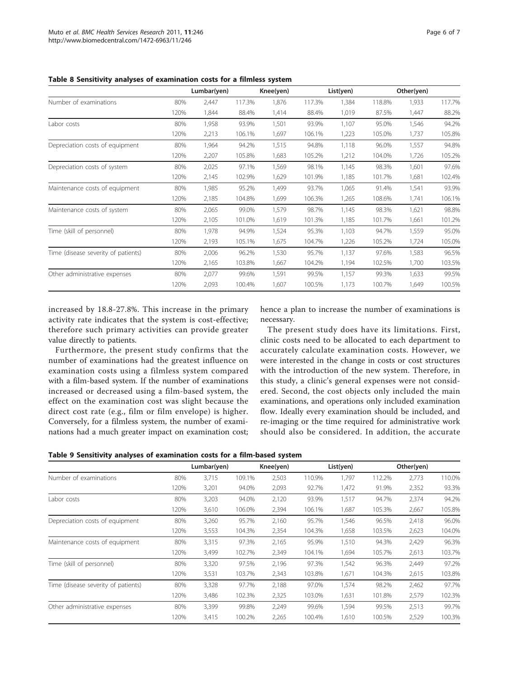<span id="page-5-0"></span>Table 8 Sensitivity analyses of examination costs for a filmless system

|                                     |      | Lumbar(yen) |        | Knee(yen) |        | List(yen) |        | Other(yen) |        |
|-------------------------------------|------|-------------|--------|-----------|--------|-----------|--------|------------|--------|
| Number of examinations              | 80%  | 2,447       | 117.3% | 1,876     | 117.3% | 1,384     | 118.8% | 1,933      | 117.7% |
|                                     | 120% | 1,844       | 88.4%  | 1,414     | 88.4%  | 1,019     | 87.5%  | 1,447      | 88.2%  |
| Labor costs                         | 80%  | 1,958       | 93.9%  | 1,501     | 93.9%  | 1,107     | 95.0%  | 1,546      | 94.2%  |
|                                     | 120% | 2,213       | 106.1% | 1,697     | 106.1% | 1,223     | 105.0% | 1,737      | 105.8% |
| Depreciation costs of equipment     | 80%  | 1,964       | 94.2%  | 1,515     | 94.8%  | 1,118     | 96.0%  | 1,557      | 94.8%  |
|                                     | 120% | 2,207       | 105.8% | 1,683     | 105.2% | 1,212     | 104.0% | 1,726      | 105.2% |
| Depreciation costs of system        | 80%  | 2,025       | 97.1%  | 1,569     | 98.1%  | 1,145     | 98.3%  | 1,601      | 97.6%  |
|                                     | 120% | 2,145       | 102.9% | 1,629     | 101.9% | 1,185     | 101.7% | 1,681      | 102.4% |
| Maintenance costs of equipment      | 80%  | 1,985       | 95.2%  | 1,499     | 93.7%  | 1,065     | 91.4%  | 1,541      | 93.9%  |
|                                     | 120% | 2,185       | 104.8% | 1,699     | 106.3% | 1,265     | 108.6% | 1,741      | 106.1% |
| Maintenance costs of system         | 80%  | 2,065       | 99.0%  | 1,579     | 98.7%  | 1,145     | 98.3%  | 1,621      | 98.8%  |
|                                     | 120% | 2,105       | 101.0% | 1,619     | 101.3% | 1,185     | 101.7% | 1,661      | 101.2% |
| Time (skill of personnel)           | 80%  | 1,978       | 94.9%  | 1,524     | 95.3%  | 1,103     | 94.7%  | 1,559      | 95.0%  |
|                                     | 120% | 2,193       | 105.1% | 1,675     | 104.7% | 1,226     | 105.2% | 1,724      | 105.0% |
| Time (disease severity of patients) | 80%  | 2,006       | 96.2%  | 1,530     | 95.7%  | 1,137     | 97.6%  | 1,583      | 96.5%  |
|                                     | 120% | 2,165       | 103.8% | 1,667     | 104.2% | 1,194     | 102.5% | 1,700      | 103.5% |
| Other administrative expenses       | 80%  | 2,077       | 99.6%  | 1,591     | 99.5%  | 1,157     | 99.3%  | 1,633      | 99.5%  |
|                                     | 120% | 2,093       | 100.4% | 1,607     | 100.5% | 1,173     | 100.7% | 1.649      | 100.5% |

increased by 18.8-27.8%. This increase in the primary activity rate indicates that the system is cost-effective; therefore such primary activities can provide greater value directly to patients.

Furthermore, the present study confirms that the number of examinations had the greatest influence on examination costs using a filmless system compared with a film-based system. If the number of examinations increased or decreased using a film-based system, the effect on the examination cost was slight because the direct cost rate (e.g., film or film envelope) is higher. Conversely, for a filmless system, the number of examinations had a much greater impact on examination cost; hence a plan to increase the number of examinations is necessary.

The present study does have its limitations. First, clinic costs need to be allocated to each department to accurately calculate examination costs. However, we were interested in the change in costs or cost structures with the introduction of the new system. Therefore, in this study, a clinic's general expenses were not considered. Second, the cost objects only included the main examinations, and operations only included examination flow. Ideally every examination should be included, and re-imaging or the time required for administrative work should also be considered. In addition, the accurate

| Table 9 Sensitivity analyses of examination costs for a film-based system |  |  |  |  |
|---------------------------------------------------------------------------|--|--|--|--|
|---------------------------------------------------------------------------|--|--|--|--|

|                                     |      | Lumbar(yen) |        | Knee(yen) |        | List(yen) |        | Other(yen) |        |
|-------------------------------------|------|-------------|--------|-----------|--------|-----------|--------|------------|--------|
| Number of examinations              | 80%  | 3,715       | 109.1% | 2,503     | 110.9% | 1,797     | 112.2% | 2,773      | 110.0% |
|                                     | 120% | 3,201       | 94.0%  | 2,093     | 92.7%  | 1,472     | 91.9%  | 2,352      | 93.3%  |
| Labor costs                         | 80%  | 3,203       | 94.0%  | 2,120     | 93.9%  | 1,517     | 94.7%  | 2,374      | 94.2%  |
|                                     | 120% | 3,610       | 106.0% | 2,394     | 106.1% | 1,687     | 105.3% | 2,667      | 105.8% |
| Depreciation costs of equipment     | 80%  | 3,260       | 95.7%  | 2,160     | 95.7%  | 1,546     | 96.5%  | 2,418      | 96.0%  |
|                                     | 120% | 3,553       | 104.3% | 2,354     | 104.3% | 1,658     | 103.5% | 2,623      | 104.0% |
| Maintenance costs of equipment      | 80%  | 3,315       | 97.3%  | 2,165     | 95.9%  | 1,510     | 94.3%  | 2,429      | 96.3%  |
|                                     | 120% | 3,499       | 102.7% | 2,349     | 104.1% | 1,694     | 105.7% | 2,613      | 103.7% |
| Time (skill of personnel)           | 80%  | 3,320       | 97.5%  | 2,196     | 97.3%  | 1,542     | 96.3%  | 2,449      | 97.2%  |
|                                     | 120% | 3,531       | 103.7% | 2,343     | 103.8% | 1,671     | 104.3% | 2,615      | 103.8% |
| Time (disease severity of patients) | 80%  | 3,328       | 97.7%  | 2,188     | 97.0%  | 1,574     | 98.2%  | 2,462      | 97.7%  |
|                                     | 120% | 3,486       | 102.3% | 2,325     | 103.0% | 1,631     | 101.8% | 2,579      | 102.3% |
| Other administrative expenses       | 80%  | 3,399       | 99.8%  | 2,249     | 99.6%  | 1,594     | 99.5%  | 2,513      | 99.7%  |
|                                     | 120% | 3,415       | 100.2% | 2,265     | 100.4% | 1,610     | 100.5% | 2,529      | 100.3% |